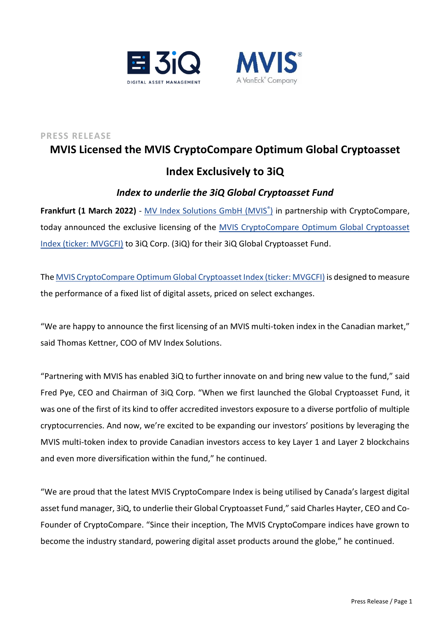



# **PRESS RELEASE MVIS Licensed the MVIS CryptoCompare Optimum Global Cryptoasset Index Exclusively to 3iQ**

# *Index to underlie the 3iQ Global Cryptoasset Fund*

**Frankfurt (1 March 2022)** - [MV Index Solutions GmbH \(MVIS](https://www.mvis-indices.com/)® [\)](https://www.mvis-indices.com/) in partnership with CryptoCompare, today announced the exclusive licensing of the [MVIS CryptoCompare Optimum Global Cryptoasset](https://www.mvis-indices.com/indices/digital-assets/mvis-CryptoCompare-Optimum-Global-Cryptoasset?utm_source=mvis&utm_medium=pressrelease&utm_campaign=announcement)  [Index \(ticker: MVGCFI\)](https://www.mvis-indices.com/indices/digital-assets/mvis-CryptoCompare-Optimum-Global-Cryptoasset?utm_source=mvis&utm_medium=pressrelease&utm_campaign=announcement) to 3iQ Corp. (3iQ) for their 3iQ Global Cryptoasset Fund.

Th[e MVIS CryptoCompare Optimum Global Cryptoasset Index \(ticker: MVGCFI\)](https://www.mvis-indices.com/indices/digital-assets/mvis-CryptoCompare-Optimum-Global-Cryptoasset?utm_source=mvis&utm_medium=pressrelease&utm_campaign=announcement) is designed to measure the performance of a fixed list of digital assets, priced on select exchanges.

"We are happy to announce the first licensing of an MVIS multi-token index in the Canadian market," said Thomas Kettner, COO of MV Index Solutions.

"Partnering with MVIS has enabled 3iQ to further innovate on and bring new value to the fund," said Fred Pye, CEO and Chairman of 3iQ Corp. "When we first launched the Global Cryptoasset Fund, it was one of the first of its kind to offer accredited investors exposure to a diverse portfolio of multiple cryptocurrencies. And now, we're excited to be expanding our investors' positions by leveraging the MVIS multi-token index to provide Canadian investors access to key Layer 1 and Layer 2 blockchains and even more diversification within the fund," he continued.

"We are proud that the latest MVIS CryptoCompare Index is being utilised by Canada's largest digital asset fund manager, 3iQ, to underlie their Global Cryptoasset Fund," said Charles Hayter, CEO and Co-Founder of CryptoCompare. "Since their inception, The MVIS CryptoCompare indices have grown to become the industry standard, powering digital asset products around the globe," he continued.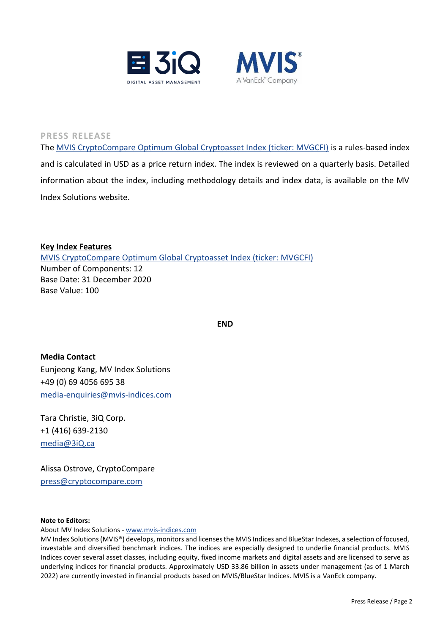



**PRESS RELEASE**

Th[e MVIS CryptoCompare Optimum Global Cryptoasset Index \(ticker: MVGCFI\)](https://www.mvis-indices.com/indices/digital-assets/mvis-CryptoCompare-Optimum-Global-Cryptoasset?utm_source=mvis&utm_medium=pressrelease&utm_campaign=announcement) is a rules-based index and is calculated in USD as a price return index. The index is reviewed on a quarterly basis. Detailed information about the index, including methodology details and index data, is available on the MV Index Solutions website.

**Key Index Features**  [MVIS CryptoCompare Optimum Global Cryptoasset Index \(ticker:](https://www.mvis-indices.com/indices/digital-assets/mvis-CryptoCompare-Optimum-Global-Cryptoasset?utm_source=mvis&utm_medium=pressrelease&utm_campaign=announcement) MVGCFI) Number of Components: 12 Base Date: 31 December 2020 Base Value: 100

**END**

**Media Contact** Eunjeong Kang, MV Index Solutions +49 (0) 69 4056 695 38 [media-enquiries@mvis-indices.com](mailto:media-enquiries@mvis-indices.com)

Tara Christie, 3iQ Corp. +1 (416) 639-2130 [media@3iQ.ca](mailto:media@3iQ.ca)

Alissa Ostrove, CryptoCompare [press@cryptocompare.com](mailto:press@cryptocompare.com)

## **Note to Editors:**

About MV Index Solutions - [www.mvis-indices.com](http://www.mvis-indices.com/)

MV Index Solutions (MVIS®) develops, monitors and licenses the MVIS Indices and BlueStar Indexes, a selection of focused, investable and diversified benchmark indices. The indices are especially designed to underlie financial products. MVIS Indices cover several asset classes, including equity, fixed income markets and digital assets and are licensed to serve as underlying indices for financial products. Approximately USD 33.86 billion in assets under management (as of 1 March 2022) are currently invested in financial products based on MVIS/BlueStar Indices. MVIS is a VanEck company.